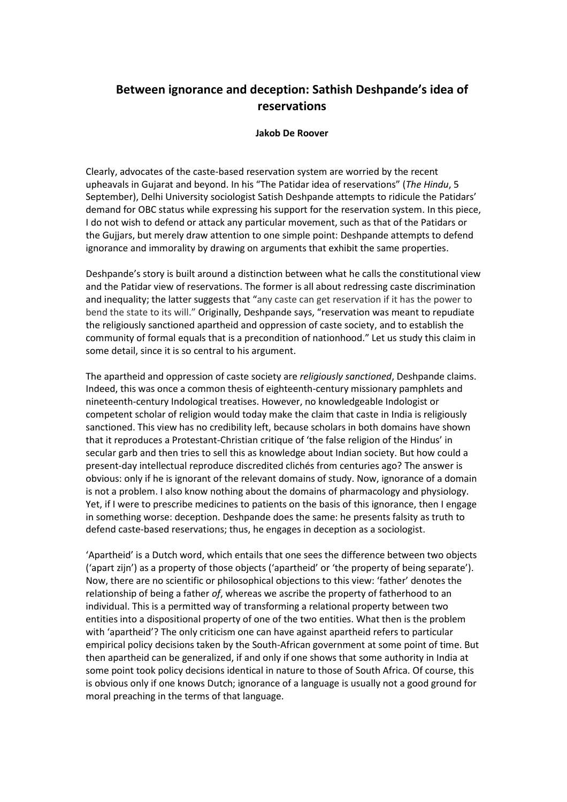## **Between ignorance and deception: Sathish Deshpande's idea of reservations**

## **Jakob De Roover**

Clearly, advocates of the caste-based reservation system are worried by the recent upheavals in Gujarat and beyond. In his "The Patidar idea of reservations" (*The Hindu*, 5 September), Delhi University sociologist Satish Deshpande attempts to ridicule the Patidars' demand for OBC status while expressing his support for the reservation system. In this piece, I do not wish to defend or attack any particular movement, such as that of the Patidars or the Gujjars, but merely draw attention to one simple point: Deshpande attempts to defend ignorance and immorality by drawing on arguments that exhibit the same properties.

Deshpande's story is built around a distinction between what he calls the constitutional view and the Patidar view of reservations. The former is all about redressing caste discrimination and inequality; the latter suggests that "any caste can get reservation if it has the power to bend the state to its will." Originally, Deshpande says, "reservation was meant to repudiate the religiously sanctioned apartheid and oppression of caste society, and to establish the community of formal equals that is a precondition of nationhood." Let us study this claim in some detail, since it is so central to his argument.

The apartheid and oppression of caste society are *religiously sanctioned*, Deshpande claims. Indeed, this was once a common thesis of eighteenth-century missionary pamphlets and nineteenth-century Indological treatises. However, no knowledgeable Indologist or competent scholar of religion would today make the claim that caste in India is religiously sanctioned. This view has no credibility left, because scholars in both domains have shown that it reproduces a Protestant-Christian critique of 'the false religion of the Hindus' in secular garb and then tries to sell this as knowledge about Indian society. But how could a present-day intellectual reproduce discredited clichés from centuries ago? The answer is obvious: only if he is ignorant of the relevant domains of study. Now, ignorance of a domain is not a problem. I also know nothing about the domains of pharmacology and physiology. Yet, if I were to prescribe medicines to patients on the basis of this ignorance, then I engage in something worse: deception. Deshpande does the same: he presents falsity as truth to defend caste-based reservations; thus, he engages in deception as a sociologist.

'Apartheid' is a Dutch word, which entails that one sees the difference between two objects ('apart zijn') as a property of those objects ('apartheid' or 'the property of being separate'). Now, there are no scientific or philosophical objections to this view: 'father' denotes the relationship of being a father *of*, whereas we ascribe the property of fatherhood to an individual. This is a permitted way of transforming a relational property between two entities into a dispositional property of one of the two entities. What then is the problem with 'apartheid'? The only criticism one can have against apartheid refers to particular empirical policy decisions taken by the South-African government at some point of time. But then apartheid can be generalized, if and only if one shows that some authority in India at some point took policy decisions identical in nature to those of South Africa. Of course, this is obvious only if one knows Dutch; ignorance of a language is usually not a good ground for moral preaching in the terms of that language.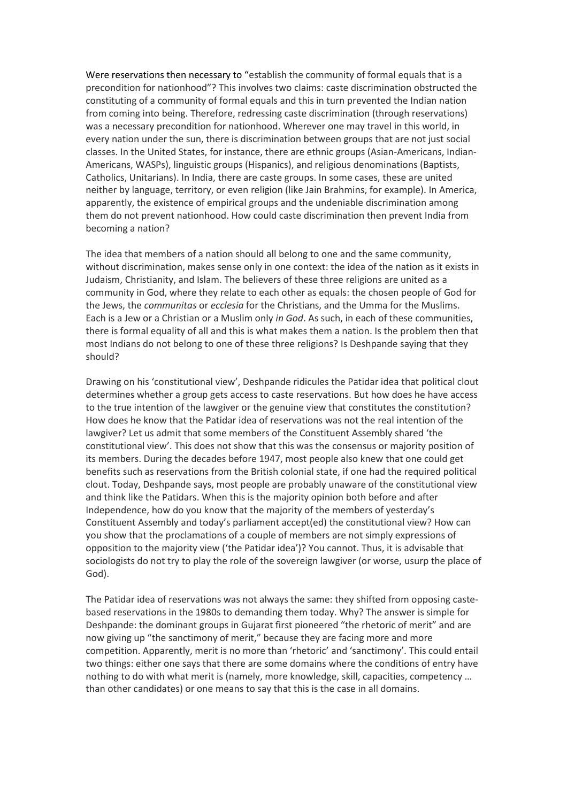Were reservations then necessary to "establish the community of formal equals that is a precondition for nationhood"? This involves two claims: caste discrimination obstructed the constituting of a community of formal equals and this in turn prevented the Indian nation from coming into being. Therefore, redressing caste discrimination (through reservations) was a necessary precondition for nationhood. Wherever one may travel in this world, in every nation under the sun, there is discrimination between groups that are not just social classes. In the United States, for instance, there are ethnic groups (Asian-Americans, Indian-Americans, WASPs), linguistic groups (Hispanics), and religious denominations (Baptists, Catholics, Unitarians). In India, there are caste groups. In some cases, these are united neither by language, territory, or even religion (like Jain Brahmins, for example). In America, apparently, the existence of empirical groups and the undeniable discrimination among them do not prevent nationhood. How could caste discrimination then prevent India from becoming a nation?

The idea that members of a nation should all belong to one and the same community, without discrimination, makes sense only in one context: the idea of the nation as it exists in Judaism, Christianity, and Islam. The believers of these three religions are united as a community in God, where they relate to each other as equals: the chosen people of God for the Jews, the *communitas* or *ecclesia* for the Christians, and the Umma for the Muslims. Each is a Jew or a Christian or a Muslim only *in God*. As such, in each of these communities, there is formal equality of all and this is what makes them a nation. Is the problem then that most Indians do not belong to one of these three religions? Is Deshpande saying that they should?

Drawing on his 'constitutional view', Deshpande ridicules the Patidar idea that political clout determines whether a group gets access to caste reservations. But how does he have access to the true intention of the lawgiver or the genuine view that constitutes the constitution? How does he know that the Patidar idea of reservations was not the real intention of the lawgiver? Let us admit that some members of the Constituent Assembly shared 'the constitutional view'. This does not show that this was the consensus or majority position of its members. During the decades before 1947, most people also knew that one could get benefits such as reservations from the British colonial state, if one had the required political clout. Today, Deshpande says, most people are probably unaware of the constitutional view and think like the Patidars. When this is the majority opinion both before and after Independence, how do you know that the majority of the members of yesterday's Constituent Assembly and today's parliament accept(ed) the constitutional view? How can you show that the proclamations of a couple of members are not simply expressions of opposition to the majority view ('the Patidar idea')? You cannot. Thus, it is advisable that sociologists do not try to play the role of the sovereign lawgiver (or worse, usurp the place of God).

The Patidar idea of reservations was not always the same: they shifted from opposing castebased reservations in the 1980s to demanding them today. Why? The answer is simple for Deshpande: the dominant groups in Gujarat first pioneered "the rhetoric of merit" and are now giving up "the sanctimony of merit," because they are facing more and more competition. Apparently, merit is no more than 'rhetoric' and 'sanctimony'. This could entail two things: either one says that there are some domains where the conditions of entry have nothing to do with what merit is (namely, more knowledge, skill, capacities, competency … than other candidates) or one means to say that this is the case in all domains.